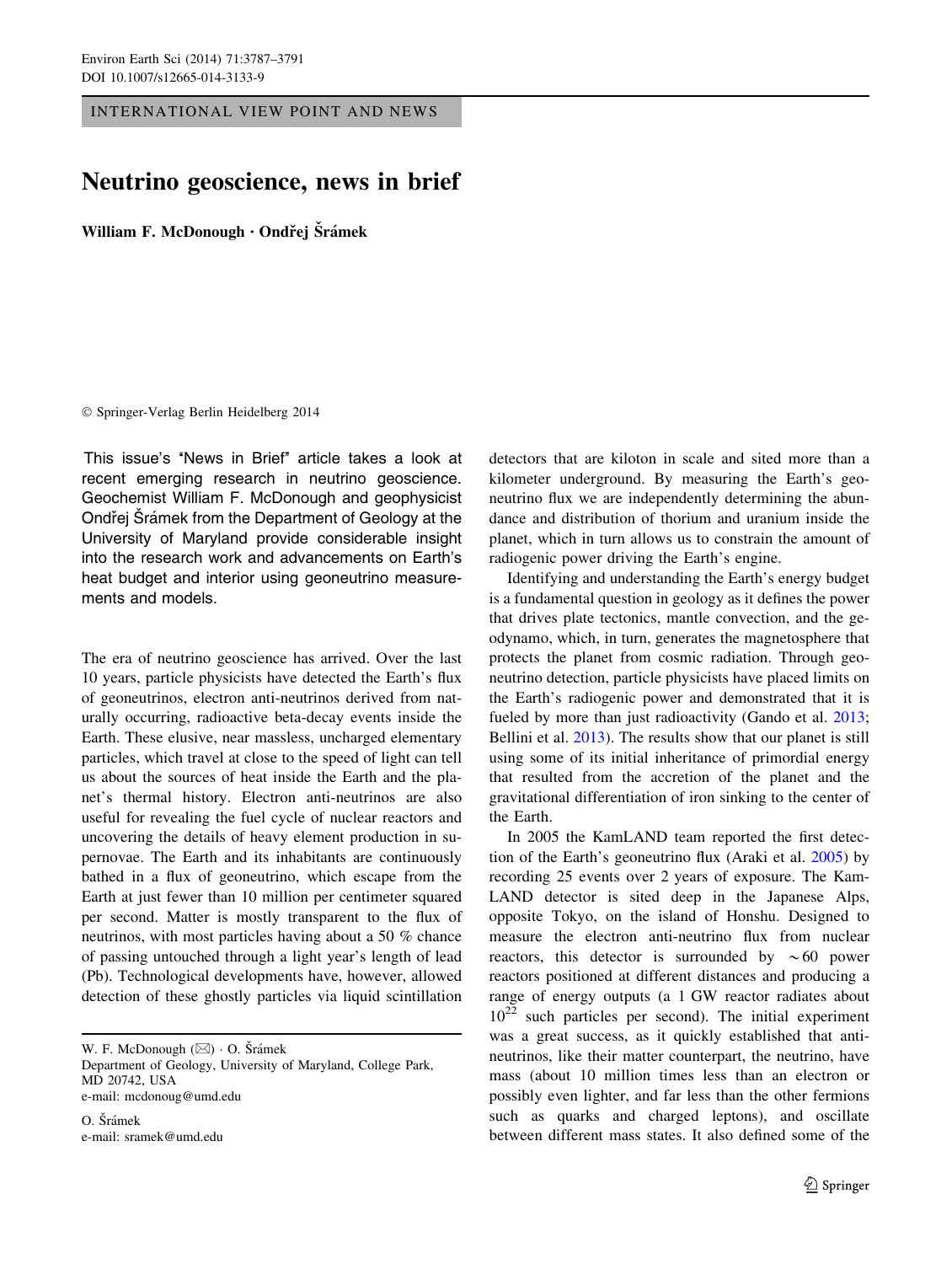INTERNATIONAL VIEW POINT AND NEWS

## Neutrino geoscience, news in brief

William F. McDonough · Ondřej Šrámek

## - Springer-Verlag Berlin Heidelberg 2014

This issue's "News in Brief" article takes a look at recent emerging research in neutrino geoscience. Geochemist William F. McDonough and geophysicist Ondřej Šrámek from the Department of Geology at the University of Maryland provide considerable insight into the research work and advancements on Earth's heat budget and interior using geoneutrino measurements and models.

The era of neutrino geoscience has arrived. Over the last 10 years, particle physicists have detected the Earth's flux of geoneutrinos, electron anti-neutrinos derived from naturally occurring, radioactive beta-decay events inside the Earth. These elusive, near massless, uncharged elementary particles, which travel at close to the speed of light can tell us about the sources of heat inside the Earth and the planet's thermal history. Electron anti-neutrinos are also useful for revealing the fuel cycle of nuclear reactors and uncovering the details of heavy element production in supernovae. The Earth and its inhabitants are continuously bathed in a flux of geoneutrino, which escape from the Earth at just fewer than 10 million per centimeter squared per second. Matter is mostly transparent to the flux of neutrinos, with most particles having about a 50 % chance of passing untouched through a light year's length of lead (Pb). Technological developments have, however, allowed detection of these ghostly particles via liquid scintillation

W. F. McDonough ( $\boxtimes$ ) · O. Šrámek

Department of Geology, University of Maryland, College Park, MD 20742, USA e-mail: mcdonoug@umd.edu

O. Šrámek e-mail: sramek@umd.edu detectors that are kiloton in scale and sited more than a kilometer underground. By measuring the Earth's geoneutrino flux we are independently determining the abundance and distribution of thorium and uranium inside the planet, which in turn allows us to constrain the amount of radiogenic power driving the Earth's engine.

Identifying and understanding the Earth's energy budget is a fundamental question in geology as it defines the power that drives plate tectonics, mantle convection, and the geodynamo, which, in turn, generates the magnetosphere that protects the planet from cosmic radiation. Through geoneutrino detection, particle physicists have placed limits on the Earth's radiogenic power and demonstrated that it is fueled by more than just radioactivity (Gando et al. [2013](#page-3-0); Bellini et al. [2013\)](#page-3-0). The results show that our planet is still using some of its initial inheritance of primordial energy that resulted from the accretion of the planet and the gravitational differentiation of iron sinking to the center of the Earth.

In 2005 the KamLAND team reported the first detection of the Earth's geoneutrino flux (Araki et al. [2005\)](#page-3-0) by recording 25 events over 2 years of exposure. The Kam-LAND detector is sited deep in the Japanese Alps, opposite Tokyo, on the island of Honshu. Designed to measure the electron anti-neutrino flux from nuclear reactors, this detector is surrounded by  $\sim 60$  power reactors positioned at different distances and producing a range of energy outputs (a 1 GW reactor radiates about  $10^{22}$  such particles per second). The initial experiment was a great success, as it quickly established that antineutrinos, like their matter counterpart, the neutrino, have mass (about 10 million times less than an electron or possibly even lighter, and far less than the other fermions such as quarks and charged leptons), and oscillate between different mass states. It also defined some of the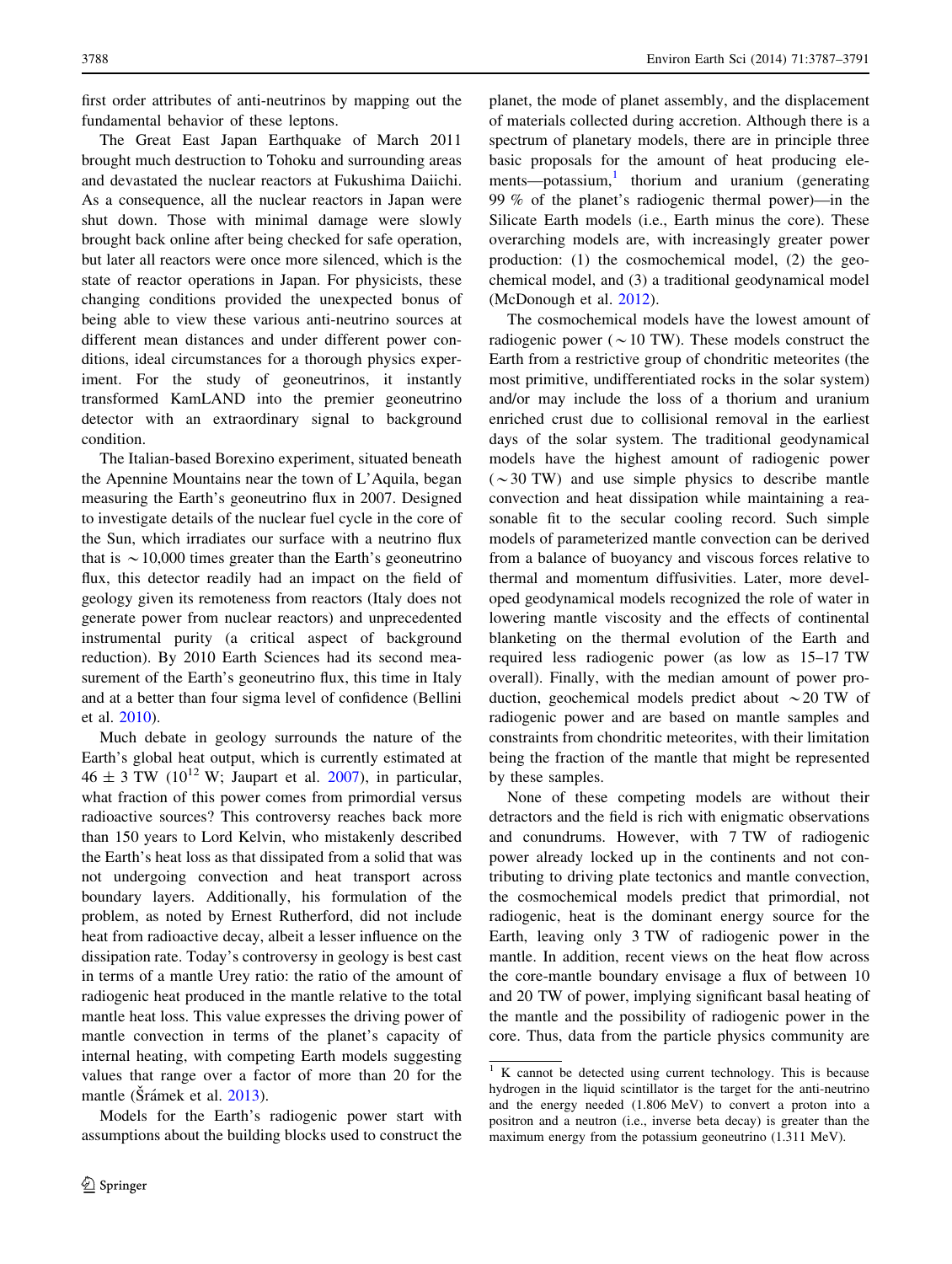first order attributes of anti-neutrinos by mapping out the fundamental behavior of these leptons.

The Great East Japan Earthquake of March 2011 brought much destruction to Tohoku and surrounding areas and devastated the nuclear reactors at Fukushima Daiichi. As a consequence, all the nuclear reactors in Japan were shut down. Those with minimal damage were slowly brought back online after being checked for safe operation, but later all reactors were once more silenced, which is the state of reactor operations in Japan. For physicists, these changing conditions provided the unexpected bonus of being able to view these various anti-neutrino sources at different mean distances and under different power conditions, ideal circumstances for a thorough physics experiment. For the study of geoneutrinos, it instantly transformed KamLAND into the premier geoneutrino detector with an extraordinary signal to background condition.

The Italian-based Borexino experiment, situated beneath the Apennine Mountains near the town of L'Aquila, began measuring the Earth's geoneutrino flux in 2007. Designed to investigate details of the nuclear fuel cycle in the core of the Sun, which irradiates our surface with a neutrino flux that is  $\sim$  10,000 times greater than the Earth's geoneutrino flux, this detector readily had an impact on the field of geology given its remoteness from reactors (Italy does not generate power from nuclear reactors) and unprecedented instrumental purity (a critical aspect of background reduction). By 2010 Earth Sciences had its second measurement of the Earth's geoneutrino flux, this time in Italy and at a better than four sigma level of confidence (Bellini et al. [2010\)](#page-3-0).

Much debate in geology surrounds the nature of the Earth's global heat output, which is currently estimated at  $46 \pm 3$  TW (10<sup>12</sup> W; Jaupart et al. [2007](#page-3-0)), in particular, what fraction of this power comes from primordial versus radioactive sources? This controversy reaches back more than 150 years to Lord Kelvin, who mistakenly described the Earth's heat loss as that dissipated from a solid that was not undergoing convection and heat transport across boundary layers. Additionally, his formulation of the problem, as noted by Ernest Rutherford, did not include heat from radioactive decay, albeit a lesser influence on the dissipation rate. Today's controversy in geology is best cast in terms of a mantle Urey ratio: the ratio of the amount of radiogenic heat produced in the mantle relative to the total mantle heat loss. This value expresses the driving power of mantle convection in terms of the planet's capacity of internal heating, with competing Earth models suggesting values that range over a factor of more than 20 for the mantle (Srámek et al. [2013\)](#page-4-0).

Models for the Earth's radiogenic power start with assumptions about the building blocks used to construct the planet, the mode of planet assembly, and the displacement of materials collected during accretion. Although there is a spectrum of planetary models, there are in principle three basic proposals for the amount of heat producing elements—potassium, $\frac{1}{1}$  thorium and uranium (generating 99 % of the planet's radiogenic thermal power)—in the Silicate Earth models (i.e., Earth minus the core). These overarching models are, with increasingly greater power production: (1) the cosmochemical model, (2) the geochemical model, and (3) a traditional geodynamical model (McDonough et al. [2012\)](#page-4-0).

The cosmochemical models have the lowest amount of radiogenic power ( $\sim$  10 TW). These models construct the Earth from a restrictive group of chondritic meteorites (the most primitive, undifferentiated rocks in the solar system) and/or may include the loss of a thorium and uranium enriched crust due to collisional removal in the earliest days of the solar system. The traditional geodynamical models have the highest amount of radiogenic power  $({\sim}30 \text{ TW})$  and use simple physics to describe mantle convection and heat dissipation while maintaining a reasonable fit to the secular cooling record. Such simple models of parameterized mantle convection can be derived from a balance of buoyancy and viscous forces relative to thermal and momentum diffusivities. Later, more developed geodynamical models recognized the role of water in lowering mantle viscosity and the effects of continental blanketing on the thermal evolution of the Earth and required less radiogenic power (as low as 15–17 TW overall). Finally, with the median amount of power production, geochemical models predict about  $\sim$  20 TW of radiogenic power and are based on mantle samples and constraints from chondritic meteorites, with their limitation being the fraction of the mantle that might be represented by these samples.

None of these competing models are without their detractors and the field is rich with enigmatic observations and conundrums. However, with 7 TW of radiogenic power already locked up in the continents and not contributing to driving plate tectonics and mantle convection, the cosmochemical models predict that primordial, not radiogenic, heat is the dominant energy source for the Earth, leaving only 3 TW of radiogenic power in the mantle. In addition, recent views on the heat flow across the core-mantle boundary envisage a flux of between 10 and 20 TW of power, implying significant basal heating of the mantle and the possibility of radiogenic power in the core. Thus, data from the particle physics community are

 $\overline{1 \cdot K}$  cannot be detected using current technology. This is because hydrogen in the liquid scintillator is the target for the anti-neutrino and the energy needed (1.806 MeV) to convert a proton into a positron and a neutron (i.e., inverse beta decay) is greater than the maximum energy from the potassium geoneutrino (1.311 MeV).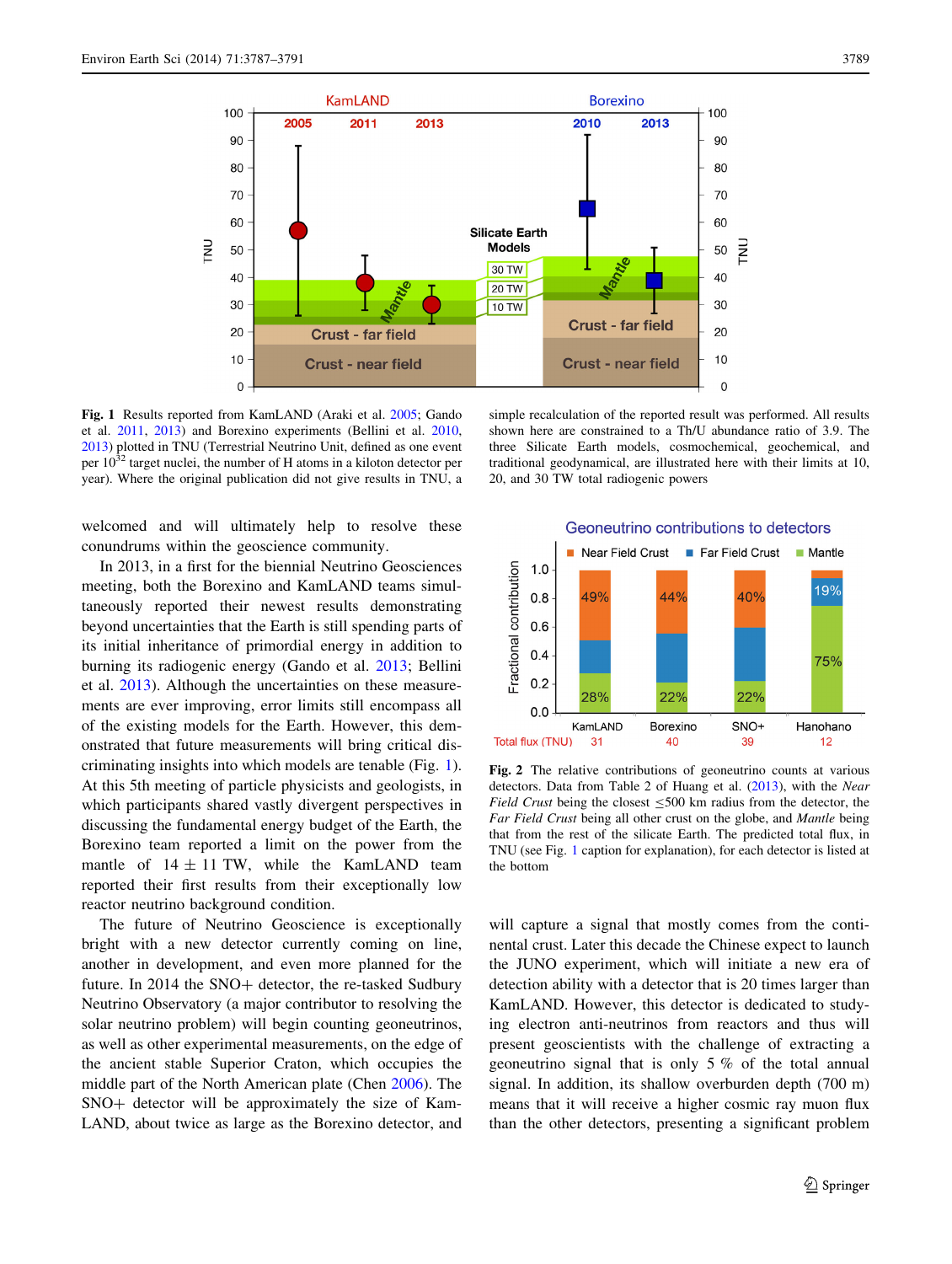<span id="page-2-0"></span>

Fig. 1 Results reported from KamLAND (Araki et al. [2005](#page-3-0); Gando et al. [2011](#page-3-0), [2013](#page-3-0)) and Borexino experiments (Bellini et al. [2010](#page-3-0), [2013\)](#page-3-0) plotted in TNU (Terrestrial Neutrino Unit, defined as one event per  $10^{32}$  target nuclei, the number of H atoms in a kiloton detector per year). Where the original publication did not give results in TNU, a

welcomed and will ultimately help to resolve these conundrums within the geoscience community.

In 2013, in a first for the biennial Neutrino Geosciences meeting, both the Borexino and KamLAND teams simultaneously reported their newest results demonstrating beyond uncertainties that the Earth is still spending parts of its initial inheritance of primordial energy in addition to burning its radiogenic energy (Gando et al. [2013](#page-3-0); Bellini et al. [2013\)](#page-3-0). Although the uncertainties on these measurements are ever improving, error limits still encompass all of the existing models for the Earth. However, this demonstrated that future measurements will bring critical discriminating insights into which models are tenable (Fig. 1). At this 5th meeting of particle physicists and geologists, in which participants shared vastly divergent perspectives in discussing the fundamental energy budget of the Earth, the Borexino team reported a limit on the power from the mantle of  $14 \pm 11$  TW, while the KamLAND team reported their first results from their exceptionally low reactor neutrino background condition.

The future of Neutrino Geoscience is exceptionally bright with a new detector currently coming on line, another in development, and even more planned for the future. In 2014 the  $SNO+$  detector, the re-tasked Sudbury Neutrino Observatory (a major contributor to resolving the solar neutrino problem) will begin counting geoneutrinos, as well as other experimental measurements, on the edge of the ancient stable Superior Craton, which occupies the middle part of the North American plate (Chen [2006\)](#page-3-0). The SNO+ detector will be approximately the size of Kam-LAND, about twice as large as the Borexino detector, and

simple recalculation of the reported result was performed. All results shown here are constrained to a Th/U abundance ratio of 3.9. The three Silicate Earth models, cosmochemical, geochemical, and traditional geodynamical, are illustrated here with their limits at 10, 20, and 30 TW total radiogenic powers



Fig. 2 The relative contributions of geoneutrino counts at various detectors. Data from Table 2 of Huang et al. [\(2013](#page-3-0)), with the Near Field Crust being the closest  $\leq$ 500 km radius from the detector, the Far Field Crust being all other crust on the globe, and Mantle being that from the rest of the silicate Earth. The predicted total flux, in TNU (see Fig. 1 caption for explanation), for each detector is listed at the bottom

will capture a signal that mostly comes from the continental crust. Later this decade the Chinese expect to launch the JUNO experiment, which will initiate a new era of detection ability with a detector that is 20 times larger than KamLAND. However, this detector is dedicated to studying electron anti-neutrinos from reactors and thus will present geoscientists with the challenge of extracting a geoneutrino signal that is only 5 % of the total annual signal. In addition, its shallow overburden depth (700 m) means that it will receive a higher cosmic ray muon flux than the other detectors, presenting a significant problem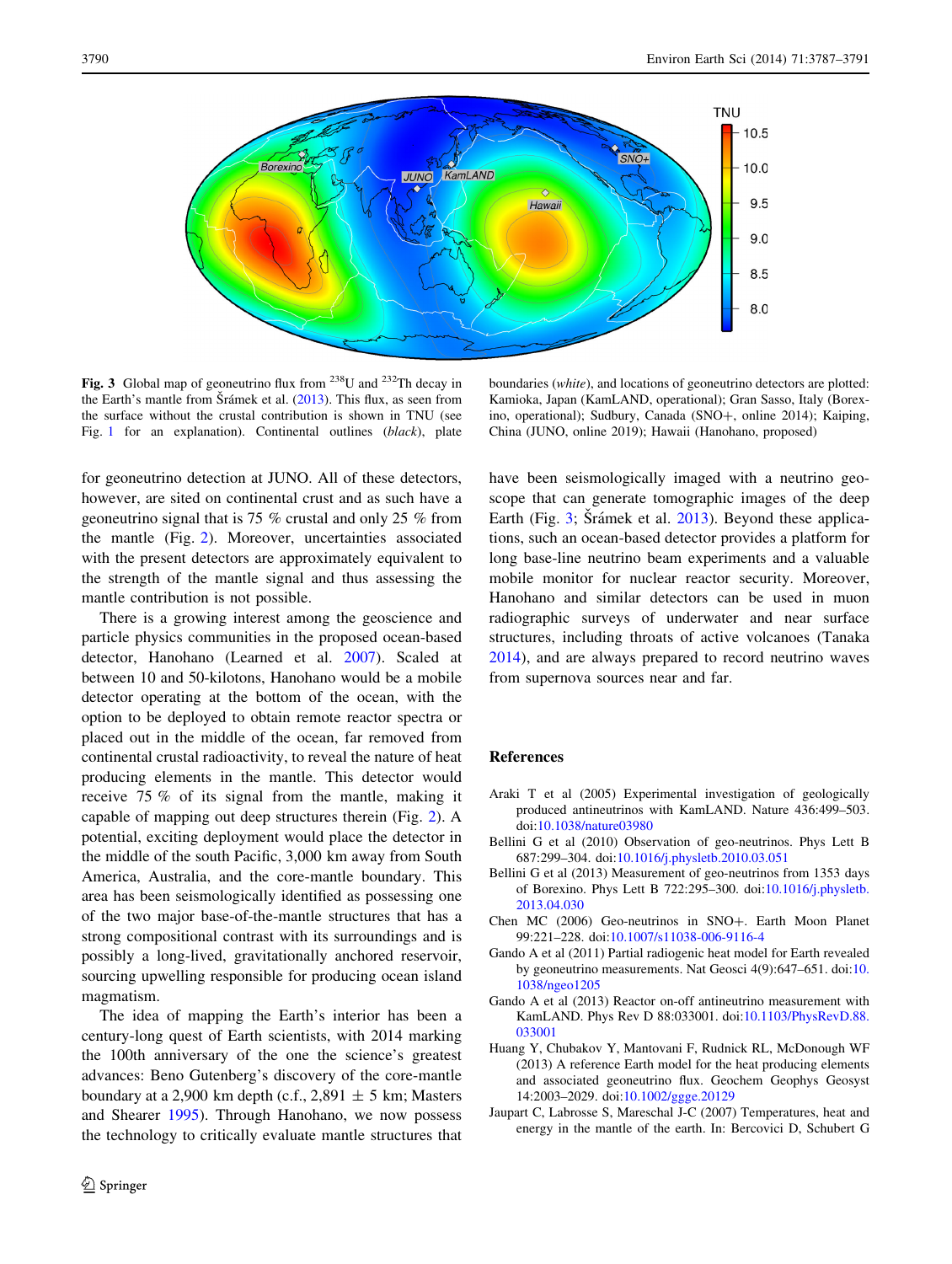<span id="page-3-0"></span>

Fig. 3 Global map of geoneutrino flux from  $^{238}$ U and  $^{232}$ Th decay in the Earth's mantle from Šrámek et al.  $(2013)$  $(2013)$ . This flux, as seen from the surface without the crustal contribution is shown in TNU (see Fig. [1](#page-2-0) for an explanation). Continental outlines (black), plate

boundaries (white), and locations of geoneutrino detectors are plotted: Kamioka, Japan (KamLAND, operational); Gran Sasso, Italy (Borexino, operational); Sudbury, Canada (SNO+, online 2014); Kaiping, China (JUNO, online 2019); Hawaii (Hanohano, proposed)

for geoneutrino detection at JUNO. All of these detectors, however, are sited on continental crust and as such have a geoneutrino signal that is 75 % crustal and only 25 % from the mantle (Fig. [2](#page-2-0)). Moreover, uncertainties associated with the present detectors are approximately equivalent to the strength of the mantle signal and thus assessing the mantle contribution is not possible.

There is a growing interest among the geoscience and particle physics communities in the proposed ocean-based detector, Hanohano (Learned et al. [2007](#page-4-0)). Scaled at between 10 and 50-kilotons, Hanohano would be a mobile detector operating at the bottom of the ocean, with the option to be deployed to obtain remote reactor spectra or placed out in the middle of the ocean, far removed from continental crustal radioactivity, to reveal the nature of heat producing elements in the mantle. This detector would receive 75 % of its signal from the mantle, making it capable of mapping out deep structures therein (Fig. [2\)](#page-2-0). A potential, exciting deployment would place the detector in the middle of the south Pacific, 3,000 km away from South America, Australia, and the core-mantle boundary. This area has been seismologically identified as possessing one of the two major base-of-the-mantle structures that has a strong compositional contrast with its surroundings and is possibly a long-lived, gravitationally anchored reservoir, sourcing upwelling responsible for producing ocean island magmatism.

The idea of mapping the Earth's interior has been a century-long quest of Earth scientists, with 2014 marking the 100th anniversary of the one the science's greatest advances: Beno Gutenberg's discovery of the core-mantle boundary at a 2,900 km depth (c.f., 2,891  $\pm$  5 km; Masters and Shearer [1995\)](#page-4-0). Through Hanohano, we now possess the technology to critically evaluate mantle structures that have been seismologically imaged with a neutrino geoscope that can generate tomographic images of the deep Earth (Fig. 3; Šrámek et al. [2013\)](#page-4-0). Beyond these applications, such an ocean-based detector provides a platform for long base-line neutrino beam experiments and a valuable mobile monitor for nuclear reactor security. Moreover, Hanohano and similar detectors can be used in muon radiographic surveys of underwater and near surface structures, including throats of active volcanoes (Tanaka [2014](#page-4-0)), and are always prepared to record neutrino waves from supernova sources near and far.

## References

- Araki T et al (2005) Experimental investigation of geologically produced antineutrinos with KamLAND. Nature 436:499–503. doi[:10.1038/nature03980](http://dx.doi.org/10.1038/nature03980)
- Bellini G et al (2010) Observation of geo-neutrinos. Phys Lett B 687:299–304. doi[:10.1016/j.physletb.2010.03.051](http://dx.doi.org/10.1016/j.physletb.2010.03.051)
- Bellini G et al (2013) Measurement of geo-neutrinos from 1353 days of Borexino. Phys Lett B 722:295–300. doi:[10.1016/j.physletb.](http://dx.doi.org/10.1016/j.physletb.2013.04.030) [2013.04.030](http://dx.doi.org/10.1016/j.physletb.2013.04.030)
- Chen MC (2006) Geo-neutrinos in SNO+. Earth Moon Planet 99:221–228. doi:[10.1007/s11038-006-9116-4](http://dx.doi.org/10.1007/s11038-006-9116-4)
- Gando A et al (2011) Partial radiogenic heat model for Earth revealed by geoneutrino measurements. Nat Geosci 4(9):647–651. doi:[10.](http://dx.doi.org/10.1038/ngeo1205) [1038/ngeo1205](http://dx.doi.org/10.1038/ngeo1205)
- Gando A et al (2013) Reactor on-off antineutrino measurement with KamLAND. Phys Rev D 88:033001. doi[:10.1103/PhysRevD.88.](http://dx.doi.org/10.1103/PhysRevD.88.033001) [033001](http://dx.doi.org/10.1103/PhysRevD.88.033001)
- Huang Y, Chubakov Y, Mantovani F, Rudnick RL, McDonough WF (2013) A reference Earth model for the heat producing elements and associated geoneutrino flux. Geochem Geophys Geosyst 14:2003–2029. doi[:10.1002/ggge.20129](http://dx.doi.org/10.1002/ggge.20129)
- Jaupart C, Labrosse S, Mareschal J-C (2007) Temperatures, heat and energy in the mantle of the earth. In: Bercovici D, Schubert G